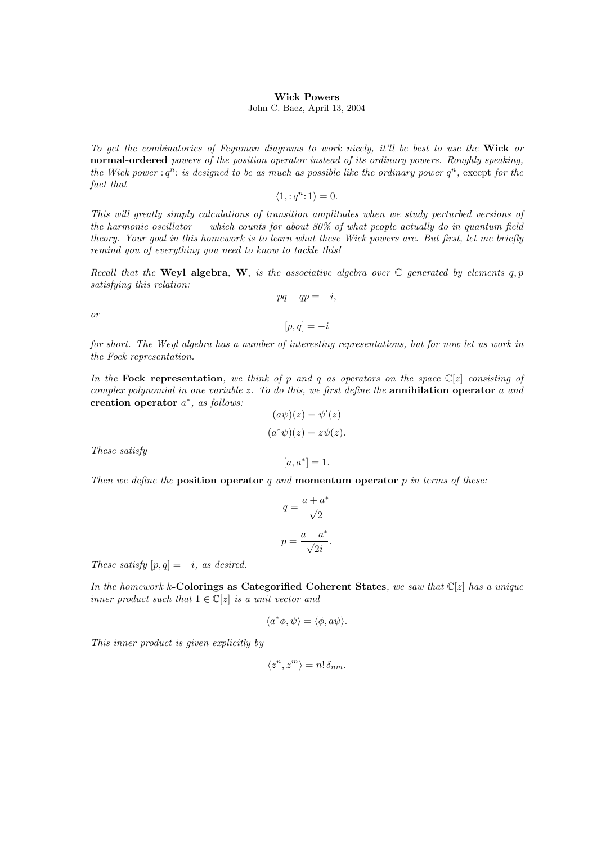## Wick Powers

## John C. Baez, April 13, 2004

To get the combinatorics of Feynman diagrams to work nicely, it'll be best to use the Wick or normal-ordered powers of the position operator instead of its ordinary powers. Roughly speaking, the Wick power :  $q^n$ : is designed to be as much as possible like the ordinary power  $q^n$ , except for the fact that

$$
\langle 1, :q^n : 1 \rangle = 0.
$$

This will greatly simply calculations of transition amplitudes when we study perturbed versions of the harmonic oscillator — which counts for about  $80\%$  of what people actually do in quantum field theory. Your goal in this homework is to learn what these Wick powers are. But first, let me briefly remind you of everything you need to know to tackle this!

Recall that the Weyl algebra, W, is the associative algebra over  $\mathbb C$  generated by elements q, p satisfying this relation:

$$
pq-qp=-i,
$$

or

for short. The Weyl algebra has a number of interesting representations, but for now let us work in the Fock representation.

 $[p, q] = -i$ 

In the Fock representation, we think of p and q as operators on the space  $\mathbb{C}[z]$  consisting of complex polynomial in one variable z. To do this, we first define the **annihilation operator** a and creation operator  $a^*$ , as follows:

$$
(a\psi)(z) = \psi'(z)
$$

$$
(a^*\psi)(z) = z\psi(z).
$$

 $[a, a^*] = 1.$ 

These satisfy

Then we define the position operator q and momentum operator  $p$  in terms of these:

$$
q = \frac{a + a^*}{\sqrt{2}}
$$

$$
p = \frac{a - a^*}{\sqrt{2}i}.
$$

These satisfy  $[p, q] = -i$ , as desired.

In the homework k-Colorings as Categorified Coherent States, we saw that  $\mathbb{C}[z]$  has a unique inner product such that  $1 \in \mathbb{C}[z]$  is a unit vector and

$$
\langle a^*\phi, \psi \rangle = \langle \phi, a\psi \rangle.
$$

This inner product is given explicitly by

$$
\langle z^n, z^m \rangle = n! \, \delta_{nm}.
$$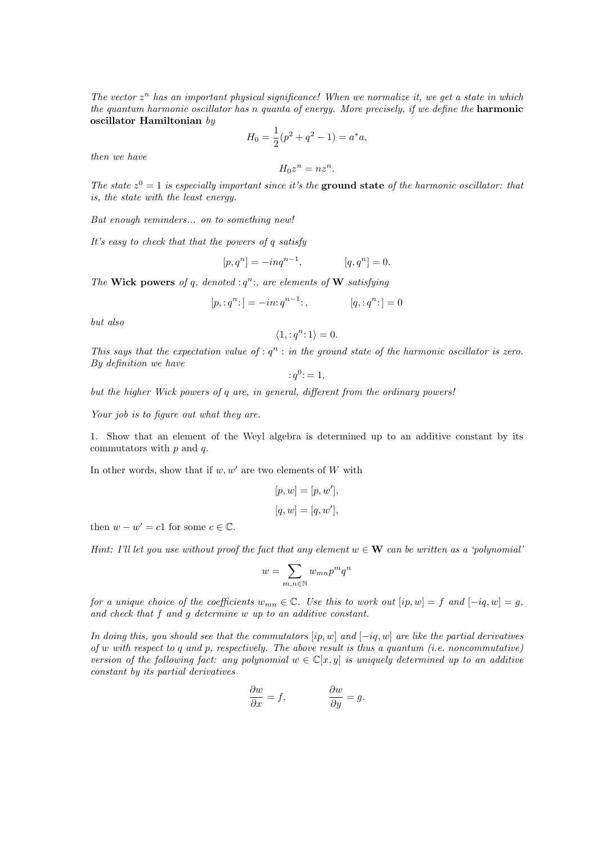The vector  $z^n$  has an important physical significance! When we normalize it, we get a state in which the quantum harmonic oscillator has n quanta of energy. More precisely, if we define the **harmonic** oscillator Hamiltonian by

$$
H_0 = \frac{1}{2}(p^2 + q^2 - 1) = a^*a,
$$

then we have

$$
H_0 z^n = n z^n.
$$

The state  $z^0 = 1$  is especially important since it's the ground state of the harmonic oscillator: that is, the state with the least energy.

But enough reminders... on to something new!

It's easy to check that that the powers of  $q$  satisfy

$$
[p, q^n] = -inq^{n-1}, \qquad [q, q^n] = 0.
$$

The Wick powers of q, denoted :  $q^n$ ; are elements of W satisfying

$$
[p, :q^n:]=-in:q^{n-1};
$$
  $[q, :q^n:]=0$ 

but also

$$
\langle 1, :q^n : 1 \rangle = 0.
$$

This says that the expectation value of :  $q^n$  : in the ground state of the harmonic oscillator is zero. By definition we have

$$
:q^{0}\mathbf{:}=1,
$$

but the higher Wick powers of q are, in general, different from the ordinary powers!

Your job is to figure out what they are.

1. Show that an element of the Weyl algebra is determined up to an additive constant by its commutators with  $p$  and  $q$ .

In other words, show that if  $w, w'$  are two elements of W with

$$
[p,w]=[p,w^{\prime}],
$$
  

$$
[q,w]=[q,w^{\prime}],
$$

then  $w - w' = c1$  for some  $c \in \mathbb{C}$ .

Hint: I'll let you use without proof the fact that any element  $w \in \mathbf{W}$  can be written as a 'polynomial'

$$
w=\sum_{m,n\in\mathbb{N}}w_{mn}p^mq^n
$$

for a unique choice of the coefficients  $w_{mn} \in \mathbb{C}$ . Use this to work out  $[ip, w] = f$  and  $[-iq, w] = g$ , and check that f and g determine w up to an additive constant.

In doing this, you should see that the commutators  $[ip, w]$  and  $[-iq, w]$  are like the partial derivatives of w with respect to q and p, respectively. The above result is thus a quantum (i.e. noncommutative) version of the following fact: any polynomial  $w \in \mathbb{C}[x, y]$  is uniquely determined up to an additive constant by its partial derivatives

$$
\frac{\partial w}{\partial x} = f, \qquad \qquad \frac{\partial w}{\partial y} = g.
$$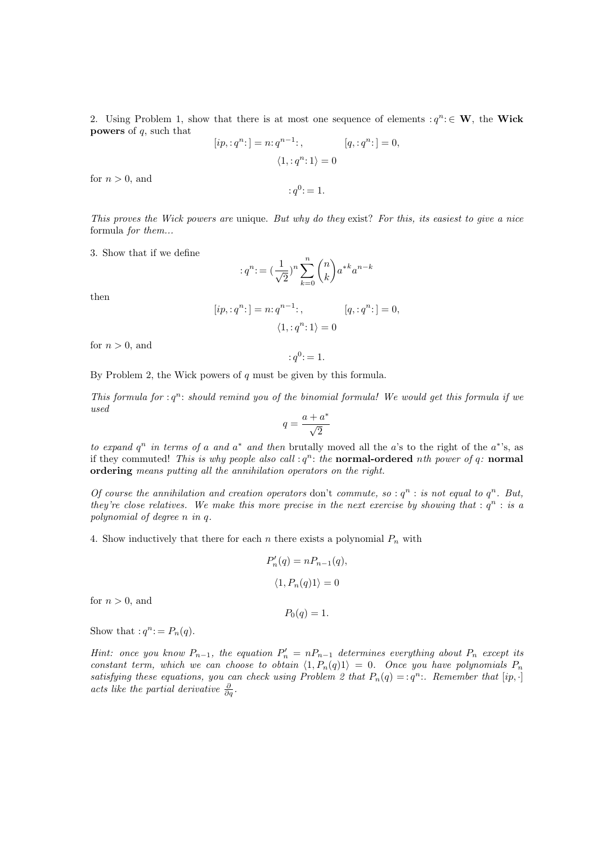2. Using Problem 1, show that there is at most one sequence of elements  $: q^n : \in \mathbf{W}$ , the Wick **powers** of  $q$ , such that

$$
[ip, :q^{n}:] = n: q^{n-1};
$$
  

$$
\langle 1, :q^{n}:1 \rangle = 0
$$
  

$$
\langle q, :q^{n}: \rangle = 0
$$

for  $n > 0$ , and

This proves the Wick powers are unique. But why do they exist? For this, its easiest to give a nice formula for them...

 $: q^0 = 1.$ 

3. Show that if we define

$$
:q^n\!:= (\frac{1}{\sqrt{2}})^n \sum_{k=0}^n \binom{n}{k} a^{*k} a^{n-k}
$$

then

$$
[ip, :q^n:] = n: q^{n-1}: , \t [q, :q^n:] = 0,
$$
  

$$
\langle 1, :q^n:1 \rangle = 0
$$

for  $n > 0$ , and

$$
:q^0\mathbin{\raisebox{.3pt}{:}\!=} 1.
$$

By Problem 2, the Wick powers of  $q$  must be given by this formula.

This formula for  $: q^n$ : should remind you of the binomial formula! We would get this formula if we used ∗

$$
q=\frac{a+a^*}{\sqrt{2}}
$$

to expand  $q^n$  in terms of a and  $a^*$  and then brutally moved all the a's to the right of the  $a^*$ 's, as if they commuted! This is why people also call  $: q<sup>n</sup>:$  the normal-ordered nth power of q: normal ordering means putting all the annihilation operators on the right.

Of course the annihilation and creation operators don't commute, so :  $q^n$  : is not equal to  $q^n$ . But, they're close relatives. We make this more precise in the next exercise by showing that :  $q^n$  : is a polynomial of degree n in q.

4. Show inductively that there for each n there exists a polynomial  $P_n$  with

$$
P'_n(q) = nP_{n-1}(q),
$$
  

$$
\langle 1, P_n(q)1 \rangle = 0
$$

for  $n > 0$ , and

 $P_0(q) = 1.$ 

Show that  $:q^n: = P_n(q)$ .

Hint: once you know  $P_{n-1}$ , the equation  $P'_n = nP_{n-1}$  determines everything about  $P_n$  except its constant term, which we can choose to obtain  $\langle 1, P_n(q)1 \rangle = 0$ . Once you have polynomials  $P_n$ satisfying these equations, you can check using Problem 2 that  $P_n(q) = : q^n$ . Remember that  $[ip, \cdot]$ acts like the partial derivative  $\frac{\partial}{\partial q}$ .